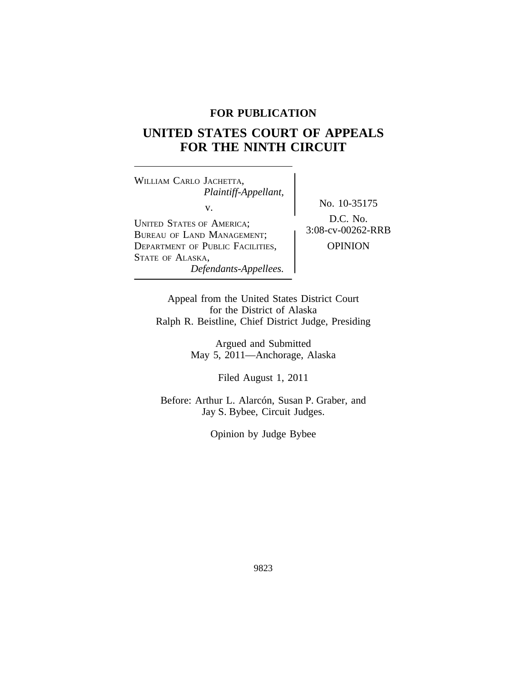# **FOR PUBLICATION**

# **UNITED STATES COURT OF APPEALS FOR THE NINTH CIRCUIT**

<sup>W</sup>ILLIAM CARLO JACHETTA, *Plaintiff-Appellant,* v.<br> $\begin{array}{c} \text{No. } 10\text{-}35175 \\ \text{Do. } 10\text{-}35175 \end{array}$ UNITED STATES OF AMERICA;<br>BUREAU OF LAND MANAGEMENT; 3:08-cv-00262-RRB DEPARTMENT OF PUBLIC FACILITIES, **OPINION** STATE OF ALASKA, *Defendants-Appellees.*

Appeal from the United States District Court for the District of Alaska Ralph R. Beistline, Chief District Judge, Presiding

> Argued and Submitted May 5, 2011—Anchorage, Alaska

> > Filed August 1, 2011

Before: Arthur L. Alarcón, Susan P. Graber, and Jay S. Bybee, Circuit Judges.

Opinion by Judge Bybee

9823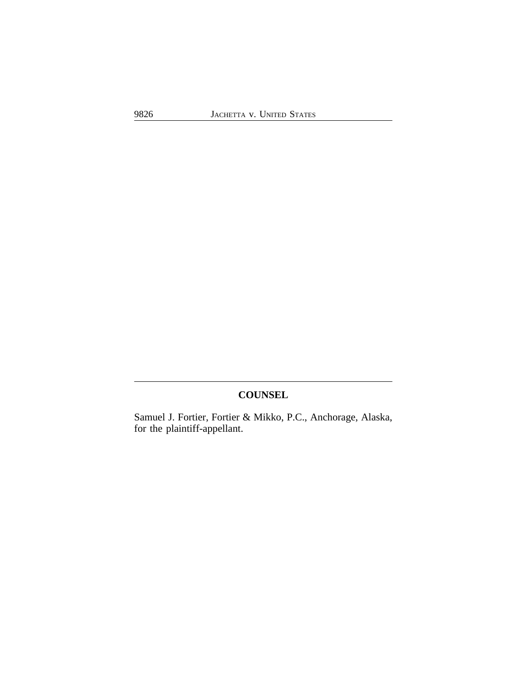# **COUNSEL**

Samuel J. Fortier, Fortier & Mikko, P.C., Anchorage, Alaska, for the plaintiff-appellant.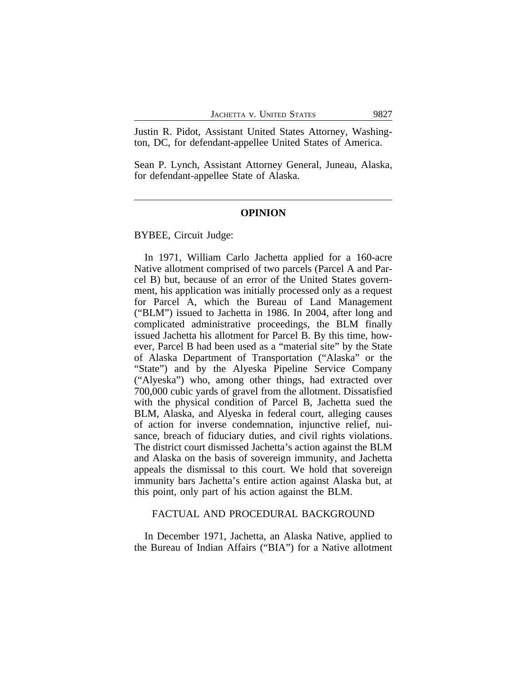Justin R. Pidot, Assistant United States Attorney, Washington, DC, for defendant-appellee United States of America.

Sean P. Lynch, Assistant Attorney General, Juneau, Alaska, for defendant-appellee State of Alaska.

### **OPINION**

BYBEE, Circuit Judge:

In 1971, William Carlo Jachetta applied for a 160-acre Native allotment comprised of two parcels (Parcel A and Parcel B) but, because of an error of the United States government, his application was initially processed only as a request for Parcel A, which the Bureau of Land Management ("BLM") issued to Jachetta in 1986. In 2004, after long and complicated administrative proceedings, the BLM finally issued Jachetta his allotment for Parcel B. By this time, however, Parcel B had been used as a "material site" by the State of Alaska Department of Transportation ("Alaska" or the "State") and by the Alyeska Pipeline Service Company ("Alyeska") who, among other things, had extracted over 700,000 cubic yards of gravel from the allotment. Dissatisfied with the physical condition of Parcel B, Jachetta sued the BLM, Alaska, and Alyeska in federal court, alleging causes of action for inverse condemnation, injunctive relief, nuisance, breach of fiduciary duties, and civil rights violations. The district court dismissed Jachetta's action against the BLM and Alaska on the basis of sovereign immunity, and Jachetta appeals the dismissal to this court. We hold that sovereign immunity bars Jachetta's entire action against Alaska but, at this point, only part of his action against the BLM.

### FACTUAL AND PROCEDURAL BACKGROUND

In December 1971, Jachetta, an Alaska Native, applied to the Bureau of Indian Affairs ("BIA") for a Native allotment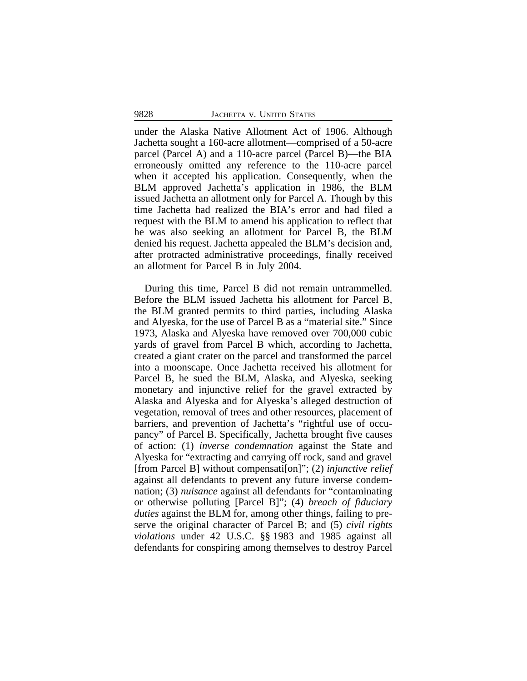under the Alaska Native Allotment Act of 1906. Although Jachetta sought a 160-acre allotment—comprised of a 50-acre parcel (Parcel A) and a 110-acre parcel (Parcel B)—the BIA erroneously omitted any reference to the 110-acre parcel when it accepted his application. Consequently, when the BLM approved Jachetta's application in 1986, the BLM issued Jachetta an allotment only for Parcel A. Though by this time Jachetta had realized the BIA's error and had filed a request with the BLM to amend his application to reflect that he was also seeking an allotment for Parcel B, the BLM denied his request. Jachetta appealed the BLM's decision and, after protracted administrative proceedings, finally received an allotment for Parcel B in July 2004.

During this time, Parcel B did not remain untrammelled. Before the BLM issued Jachetta his allotment for Parcel B, the BLM granted permits to third parties, including Alaska and Alyeska, for the use of Parcel B as a "material site." Since 1973, Alaska and Alyeska have removed over 700,000 cubic yards of gravel from Parcel B which, according to Jachetta, created a giant crater on the parcel and transformed the parcel into a moonscape. Once Jachetta received his allotment for Parcel B, he sued the BLM, Alaska, and Alyeska, seeking monetary and injunctive relief for the gravel extracted by Alaska and Alyeska and for Alyeska's alleged destruction of vegetation, removal of trees and other resources, placement of barriers, and prevention of Jachetta's "rightful use of occupancy" of Parcel B. Specifically, Jachetta brought five causes of action: (1) *inverse condemnation* against the State and Alyeska for "extracting and carrying off rock, sand and gravel [from Parcel B] without compensati[on]"; (2) *injunctive relief* against all defendants to prevent any future inverse condemnation; (3) *nuisance* against all defendants for "contaminating or otherwise polluting [Parcel B]"; (4) *breach of fiduciary duties* against the BLM for, among other things, failing to preserve the original character of Parcel B; and (5) *civil rights violations* under 42 U.S.C. §§ 1983 and 1985 against all defendants for conspiring among themselves to destroy Parcel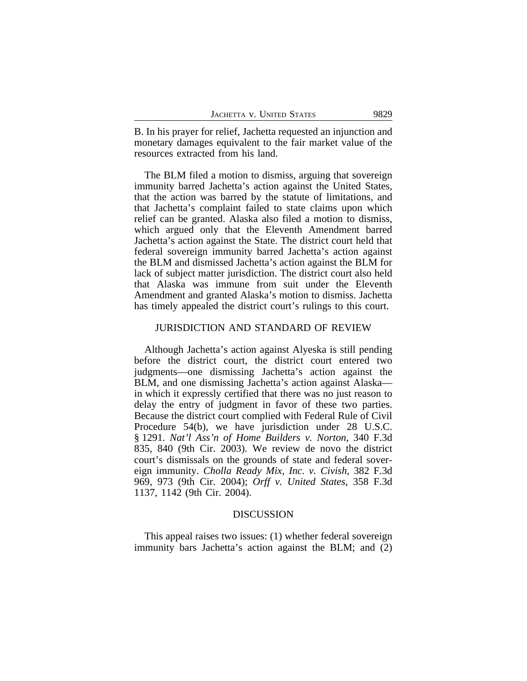B. In his prayer for relief, Jachetta requested an injunction and monetary damages equivalent to the fair market value of the resources extracted from his land.

The BLM filed a motion to dismiss, arguing that sovereign immunity barred Jachetta's action against the United States, that the action was barred by the statute of limitations, and that Jachetta's complaint failed to state claims upon which relief can be granted. Alaska also filed a motion to dismiss, which argued only that the Eleventh Amendment barred Jachetta's action against the State. The district court held that federal sovereign immunity barred Jachetta's action against the BLM and dismissed Jachetta's action against the BLM for lack of subject matter jurisdiction. The district court also held that Alaska was immune from suit under the Eleventh Amendment and granted Alaska's motion to dismiss. Jachetta has timely appealed the district court's rulings to this court.

# JURISDICTION AND STANDARD OF REVIEW

Although Jachetta's action against Alyeska is still pending before the district court, the district court entered two judgments—one dismissing Jachetta's action against the BLM, and one dismissing Jachetta's action against Alaska in which it expressly certified that there was no just reason to delay the entry of judgment in favor of these two parties. Because the district court complied with Federal Rule of Civil Procedure 54(b), we have jurisdiction under 28 U.S.C. § 1291. *Nat'l Ass'n of Home Builders v. Norton*, 340 F.3d 835, 840 (9th Cir. 2003). We review de novo the district court's dismissals on the grounds of state and federal sovereign immunity. *Cholla Ready Mix, Inc. v. Civish*, 382 F.3d 969, 973 (9th Cir. 2004); *Orff v. United States*, 358 F.3d 1137, 1142 (9th Cir. 2004).

### DISCUSSION

This appeal raises two issues: (1) whether federal sovereign immunity bars Jachetta's action against the BLM; and (2)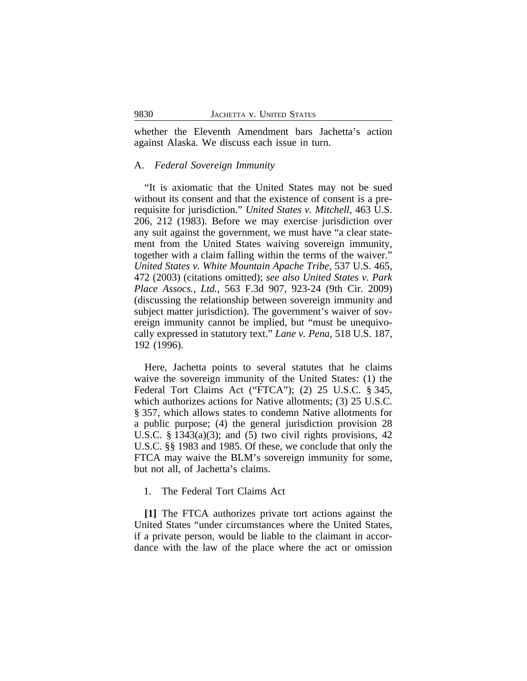whether the Eleventh Amendment bars Jachetta's action against Alaska. We discuss each issue in turn.

## A. *Federal Sovereign Immunity*

"It is axiomatic that the United States may not be sued without its consent and that the existence of consent is a prerequisite for jurisdiction." *United States v. Mitchell*, 463 U.S. 206, 212 (1983). Before we may exercise jurisdiction over any suit against the government, we must have "a clear statement from the United States waiving sovereign immunity, together with a claim falling within the terms of the waiver." *United States v. White Mountain Apache Tribe*, 537 U.S. 465, 472 (2003) (citations omitted); *see also United States v. Park Place Assocs., Ltd.*, 563 F.3d 907, 923-24 (9th Cir. 2009) (discussing the relationship between sovereign immunity and subject matter jurisdiction). The government's waiver of sovereign immunity cannot be implied, but "must be unequivocally expressed in statutory text." *Lane v. Pena*, 518 U.S. 187, 192 (1996).

Here, Jachetta points to several statutes that he claims waive the sovereign immunity of the United States: (1) the Federal Tort Claims Act ("FTCA"); (2) 25 U.S.C. § 345, which authorizes actions for Native allotments; (3) 25 U.S.C. § 357, which allows states to condemn Native allotments for a public purpose; (4) the general jurisdiction provision 28 U.S.C. § 1343 $(a)(3)$ ; and  $(5)$  two civil rights provisions, 42 U.S.C. §§ 1983 and 1985. Of these, we conclude that only the FTCA may waive the BLM's sovereign immunity for some, but not all, of Jachetta's claims.

# 1. The Federal Tort Claims Act

**[1]** The FTCA authorizes private tort actions against the United States "under circumstances where the United States, if a private person, would be liable to the claimant in accordance with the law of the place where the act or omission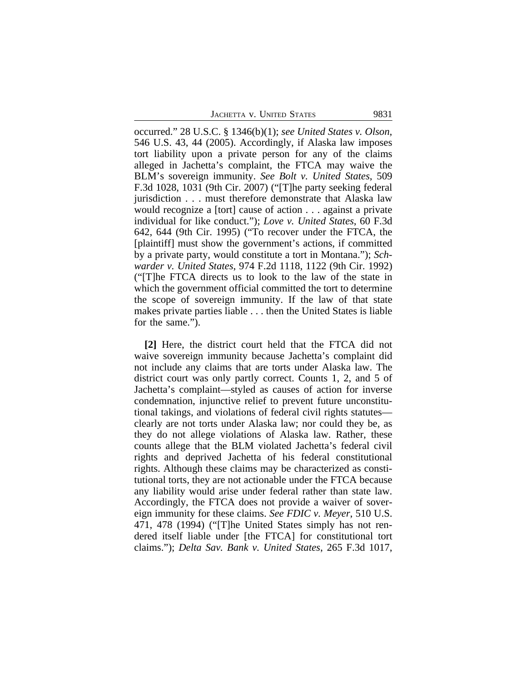JACHETTA V. UNITED STATES 9831

occurred." 28 U.S.C. § 1346(b)(1); *see United States v. Olson*, 546 U.S. 43, 44 (2005). Accordingly, if Alaska law imposes tort liability upon a private person for any of the claims alleged in Jachetta's complaint, the FTCA may waive the BLM's sovereign immunity. *See Bolt v. United States*, 509 F.3d 1028, 1031 (9th Cir. 2007) ("[T]he party seeking federal jurisdiction . . . must therefore demonstrate that Alaska law would recognize a [tort] cause of action . . . against a private individual for like conduct."); *Love v. United States*, 60 F.3d 642, 644 (9th Cir. 1995) ("To recover under the FTCA, the [plaintiff] must show the government's actions, if committed by a private party, would constitute a tort in Montana."); *Schwarder v. United States*, 974 F.2d 1118, 1122 (9th Cir. 1992) ("[T]he FTCA directs us to look to the law of the state in which the government official committed the tort to determine the scope of sovereign immunity. If the law of that state makes private parties liable . . . then the United States is liable for the same.").

**[2]** Here, the district court held that the FTCA did not waive sovereign immunity because Jachetta's complaint did not include any claims that are torts under Alaska law. The district court was only partly correct. Counts 1, 2, and 5 of Jachetta's complaint—styled as causes of action for inverse condemnation, injunctive relief to prevent future unconstitutional takings, and violations of federal civil rights statutes clearly are not torts under Alaska law; nor could they be, as they do not allege violations of Alaska law. Rather, these counts allege that the BLM violated Jachetta's federal civil rights and deprived Jachetta of his federal constitutional rights. Although these claims may be characterized as constitutional torts, they are not actionable under the FTCA because any liability would arise under federal rather than state law. Accordingly, the FTCA does not provide a waiver of sovereign immunity for these claims. *See FDIC v. Meyer*, 510 U.S. 471, 478 (1994) ("[T]he United States simply has not rendered itself liable under [the FTCA] for constitutional tort claims."); *Delta Sav. Bank v. United States*, 265 F.3d 1017,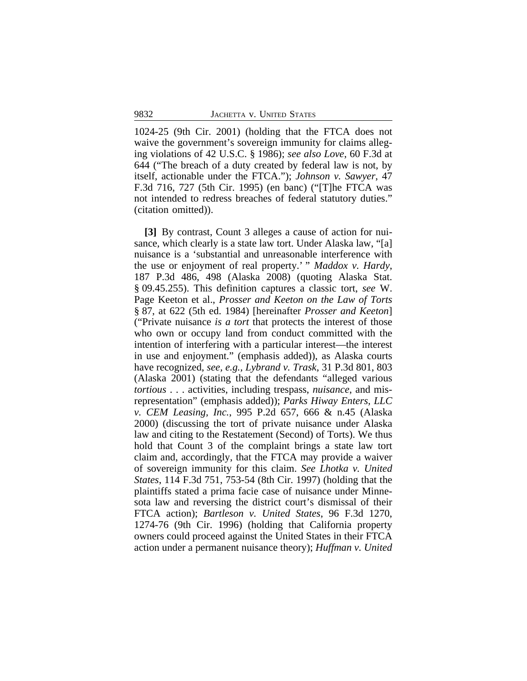1024-25 (9th Cir. 2001) (holding that the FTCA does not waive the government's sovereign immunity for claims alleging violations of 42 U.S.C. § 1986); *see also Love*, 60 F.3d at 644 ("The breach of a duty created by federal law is not, by itself, actionable under the FTCA."); *Johnson v. Sawyer*, 47 F.3d 716, 727 (5th Cir. 1995) (en banc) ("[T]he FTCA was not intended to redress breaches of federal statutory duties." (citation omitted)).

**[3]** By contrast, Count 3 alleges a cause of action for nuisance, which clearly is a state law tort. Under Alaska law, "[a] nuisance is a 'substantial and unreasonable interference with the use or enjoyment of real property.' " *Maddox v. Hardy*, 187 P.3d 486, 498 (Alaska 2008) (quoting Alaska Stat. § 09.45.255). This definition captures a classic tort, *see* W. Page Keeton et al., *Prosser and Keeton on the Law of Torts* § 87, at 622 (5th ed. 1984) [hereinafter *Prosser and Keeton*] ("Private nuisance *is a tort* that protects the interest of those who own or occupy land from conduct committed with the intention of interfering with a particular interest—the interest in use and enjoyment." (emphasis added)), as Alaska courts have recognized, *see, e.g., Lybrand v. Trask*, 31 P.3d 801, 803 (Alaska 2001) (stating that the defendants "alleged various *tortious* . . . activities, including trespass, *nuisance*, and misrepresentation" (emphasis added)); *Parks Hiway Enters, LLC v. CEM Leasing, Inc.*, 995 P.2d 657, 666 & n.45 (Alaska 2000) (discussing the tort of private nuisance under Alaska law and citing to the Restatement (Second) of Torts). We thus hold that Count 3 of the complaint brings a state law tort claim and, accordingly, that the FTCA may provide a waiver of sovereign immunity for this claim. *See Lhotka v. United States*, 114 F.3d 751, 753-54 (8th Cir. 1997) (holding that the plaintiffs stated a prima facie case of nuisance under Minnesota law and reversing the district court's dismissal of their FTCA action); *Bartleson v. United States*, 96 F.3d 1270, 1274-76 (9th Cir. 1996) (holding that California property owners could proceed against the United States in their FTCA action under a permanent nuisance theory); *Huffman v. United*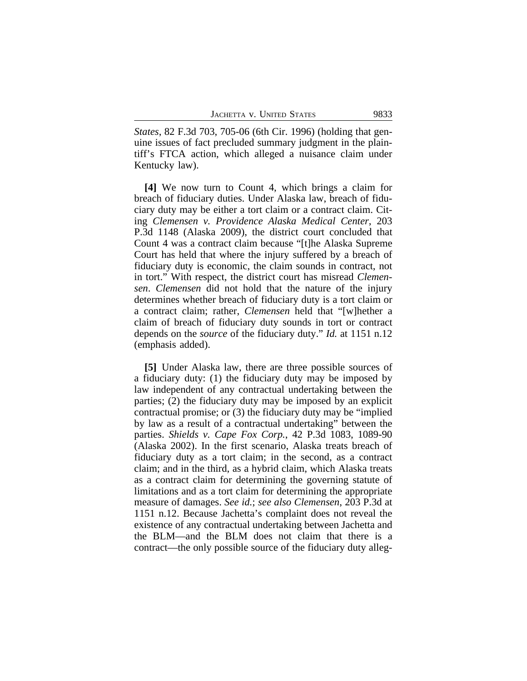*States*, 82 F.3d 703, 705-06 (6th Cir. 1996) (holding that genuine issues of fact precluded summary judgment in the plaintiff's FTCA action, which alleged a nuisance claim under Kentucky law).

**[4]** We now turn to Count 4, which brings a claim for breach of fiduciary duties. Under Alaska law, breach of fiduciary duty may be either a tort claim or a contract claim. Citing *Clemensen v. Providence Alaska Medical Center*, 203 P.3d 1148 (Alaska 2009), the district court concluded that Count 4 was a contract claim because "[t]he Alaska Supreme Court has held that where the injury suffered by a breach of fiduciary duty is economic, the claim sounds in contract, not in tort." With respect, the district court has misread *Clemensen*. *Clemensen* did not hold that the nature of the injury determines whether breach of fiduciary duty is a tort claim or a contract claim; rather, *Clemensen* held that "[w]hether a claim of breach of fiduciary duty sounds in tort or contract depends on the *source* of the fiduciary duty." *Id.* at 1151 n.12 (emphasis added).

**[5]** Under Alaska law, there are three possible sources of a fiduciary duty: (1) the fiduciary duty may be imposed by law independent of any contractual undertaking between the parties; (2) the fiduciary duty may be imposed by an explicit contractual promise; or (3) the fiduciary duty may be "implied by law as a result of a contractual undertaking" between the parties. *Shields v. Cape Fox Corp.*, 42 P.3d 1083, 1089-90 (Alaska 2002). In the first scenario, Alaska treats breach of fiduciary duty as a tort claim; in the second, as a contract claim; and in the third, as a hybrid claim, which Alaska treats as a contract claim for determining the governing statute of limitations and as a tort claim for determining the appropriate measure of damages. *See id.*; *see also Clemensen*, 203 P.3d at 1151 n.12. Because Jachetta's complaint does not reveal the existence of any contractual undertaking between Jachetta and the BLM—and the BLM does not claim that there is a contract—the only possible source of the fiduciary duty alleg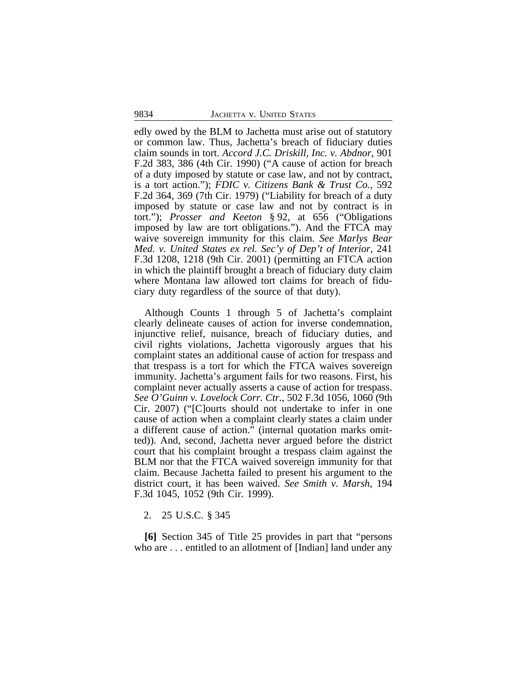edly owed by the BLM to Jachetta must arise out of statutory or common law. Thus, Jachetta's breach of fiduciary duties claim sounds in tort. *Accord J.C. Driskill, Inc. v. Abdnor*, 901 F.2d 383, 386 (4th Cir. 1990) ("A cause of action for breach of a duty imposed by statute or case law, and not by contract, is a tort action."); *FDIC v. Citizens Bank & Trust Co.*, 592 F.2d 364, 369 (7th Cir. 1979) ("Liability for breach of a duty imposed by statute or case law and not by contract is in tort."); *Prosser and Keeton* § 92, at 656 ("Obligations imposed by law are tort obligations."). And the FTCA may waive sovereign immunity for this claim. *See Marlys Bear Med. v. United States ex rel. Sec'y of Dep't of Interior*, 241 F.3d 1208, 1218 (9th Cir. 2001) (permitting an FTCA action in which the plaintiff brought a breach of fiduciary duty claim where Montana law allowed tort claims for breach of fiduciary duty regardless of the source of that duty).

Although Counts 1 through 5 of Jachetta's complaint clearly delineate causes of action for inverse condemnation, injunctive relief, nuisance, breach of fiduciary duties, and civil rights violations, Jachetta vigorously argues that his complaint states an additional cause of action for trespass and that trespass is a tort for which the FTCA waives sovereign immunity. Jachetta's argument fails for two reasons. First, his complaint never actually asserts a cause of action for trespass. *See O'Guinn v. Lovelock Corr. Ctr.*, 502 F.3d 1056, 1060 (9th Cir. 2007) ("[C]ourts should not undertake to infer in one cause of action when a complaint clearly states a claim under a different cause of action." (internal quotation marks omitted)). And, second, Jachetta never argued before the district court that his complaint brought a trespass claim against the BLM nor that the FTCA waived sovereign immunity for that claim. Because Jachetta failed to present his argument to the district court, it has been waived. *See Smith v. Marsh*, 194 F.3d 1045, 1052 (9th Cir. 1999).

2. 25 U.S.C. § 345

**[6]** Section 345 of Title 25 provides in part that "persons who are . . . entitled to an allotment of [Indian] land under any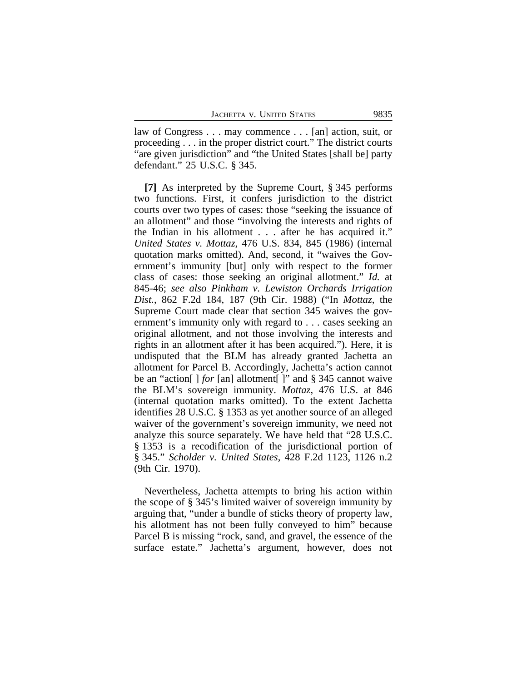law of Congress . . . may commence . . . [an] action, suit, or proceeding . . . in the proper district court." The district courts "are given jurisdiction" and "the United States [shall be] party defendant." 25 U.S.C. § 345.

**[7]** As interpreted by the Supreme Court, § 345 performs two functions. First, it confers jurisdiction to the district courts over two types of cases: those "seeking the issuance of an allotment" and those "involving the interests and rights of the Indian in his allotment . . . after he has acquired it." *United States v. Mottaz*, 476 U.S. 834, 845 (1986) (internal quotation marks omitted). And, second, it "waives the Government's immunity [but] only with respect to the former class of cases: those seeking an original allotment." *Id.* at 845-46; *see also Pinkham v. Lewiston Orchards Irrigation Dist.*, 862 F.2d 184, 187 (9th Cir. 1988) ("In *Mottaz*, the Supreme Court made clear that section 345 waives the government's immunity only with regard to . . . cases seeking an original allotment, and not those involving the interests and rights in an allotment after it has been acquired."). Here, it is undisputed that the BLM has already granted Jachetta an allotment for Parcel B. Accordingly, Jachetta's action cannot be an "action[ ] *for* [an] allotment[ ]" and § 345 cannot waive the BLM's sovereign immunity. *Mottaz*, 476 U.S. at 846 (internal quotation marks omitted). To the extent Jachetta identifies 28 U.S.C. § 1353 as yet another source of an alleged waiver of the government's sovereign immunity, we need not analyze this source separately. We have held that "28 U.S.C. § 1353 is a recodification of the jurisdictional portion of § 345." *Scholder v. United States*, 428 F.2d 1123, 1126 n.2 (9th Cir. 1970).

Nevertheless, Jachetta attempts to bring his action within the scope of § 345's limited waiver of sovereign immunity by arguing that, "under a bundle of sticks theory of property law, his allotment has not been fully conveyed to him" because Parcel B is missing "rock, sand, and gravel, the essence of the surface estate." Jachetta's argument, however, does not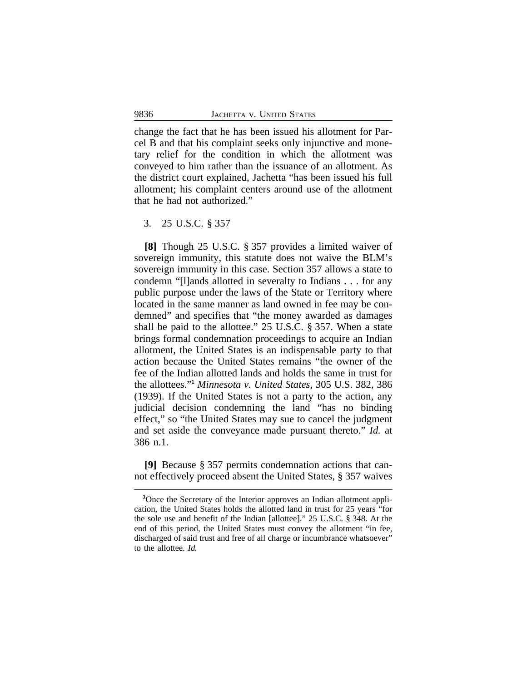change the fact that he has been issued his allotment for Parcel B and that his complaint seeks only injunctive and monetary relief for the condition in which the allotment was conveyed to him rather than the issuance of an allotment. As the district court explained, Jachetta "has been issued his full allotment; his complaint centers around use of the allotment that he had not authorized."

3. 25 U.S.C. § 357

**[8]** Though 25 U.S.C. § 357 provides a limited waiver of sovereign immunity, this statute does not waive the BLM's sovereign immunity in this case. Section 357 allows a state to condemn "[l]ands allotted in severalty to Indians . . . for any public purpose under the laws of the State or Territory where located in the same manner as land owned in fee may be condemned" and specifies that "the money awarded as damages shall be paid to the allottee." 25 U.S.C. § 357. When a state brings formal condemnation proceedings to acquire an Indian allotment, the United States is an indispensable party to that action because the United States remains "the owner of the fee of the Indian allotted lands and holds the same in trust for the allottees." **<sup>1</sup>** *Minnesota v. United States*, 305 U.S. 382, 386 (1939). If the United States is not a party to the action, any judicial decision condemning the land "has no binding effect," so "the United States may sue to cancel the judgment and set aside the conveyance made pursuant thereto." *Id.* at 386 n.1.

**[9]** Because § 357 permits condemnation actions that cannot effectively proceed absent the United States, § 357 waives

<sup>&</sup>lt;sup>1</sup>Once the Secretary of the Interior approves an Indian allotment application, the United States holds the allotted land in trust for 25 years "for the sole use and benefit of the Indian [allottee]." 25 U.S.C. § 348. At the end of this period, the United States must convey the allotment "in fee, discharged of said trust and free of all charge or incumbrance whatsoever" to the allottee. *Id.*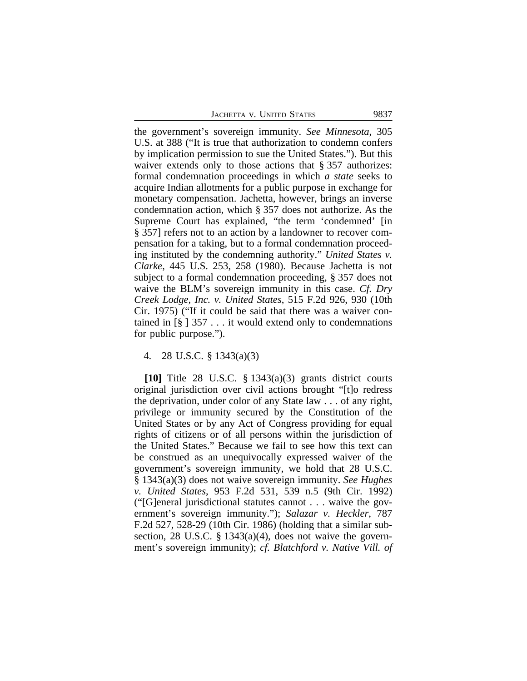the government's sovereign immunity. *See Minnesota*, 305 U.S. at 388 ("It is true that authorization to condemn confers by implication permission to sue the United States."). But this waiver extends only to those actions that § 357 authorizes: formal condemnation proceedings in which *a state* seeks to acquire Indian allotments for a public purpose in exchange for monetary compensation. Jachetta, however, brings an inverse condemnation action, which § 357 does not authorize. As the Supreme Court has explained, "the term 'condemned' [in § 357] refers not to an action by a landowner to recover compensation for a taking, but to a formal condemnation proceeding instituted by the condemning authority." *United States v. Clarke*, 445 U.S. 253, 258 (1980). Because Jachetta is not subject to a formal condemnation proceeding, § 357 does not waive the BLM's sovereign immunity in this case. *Cf. Dry Creek Lodge, Inc. v. United States*, 515 F.2d 926, 930 (10th Cir. 1975) ("If it could be said that there was a waiver contained in  $\lceil \S \rceil$  357 . . . it would extend only to condemnations for public purpose.").

## 4. 28 U.S.C. § 1343(a)(3)

**[10]** Title 28 U.S.C. § 1343(a)(3) grants district courts original jurisdiction over civil actions brought "[t]o redress the deprivation, under color of any State law . . . of any right, privilege or immunity secured by the Constitution of the United States or by any Act of Congress providing for equal rights of citizens or of all persons within the jurisdiction of the United States." Because we fail to see how this text can be construed as an unequivocally expressed waiver of the government's sovereign immunity, we hold that 28 U.S.C. § 1343(a)(3) does not waive sovereign immunity. *See Hughes v. United States*, 953 F.2d 531, 539 n.5 (9th Cir. 1992) ("[G]eneral jurisdictional statutes cannot . . . waive the government's sovereign immunity."); *Salazar v. Heckler*, 787 F.2d 527, 528-29 (10th Cir. 1986) (holding that a similar subsection, 28 U.S.C. § 1343(a)(4), does not waive the government's sovereign immunity); *cf. Blatchford v. Native Vill. of*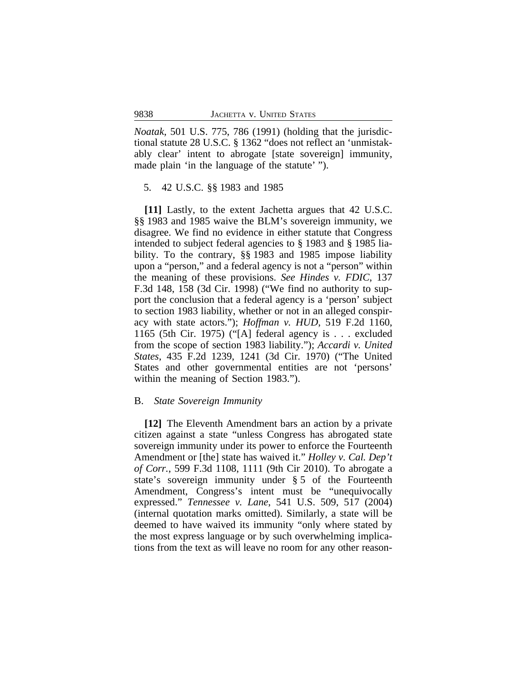*Noatak*, 501 U.S. 775, 786 (1991) (holding that the jurisdictional statute 28 U.S.C. § 1362 "does not reflect an 'unmistakably clear' intent to abrogate [state sovereign] immunity, made plain 'in the language of the statute' ").

### 5. 42 U.S.C. §§ 1983 and 1985

**[11]** Lastly, to the extent Jachetta argues that 42 U.S.C. §§ 1983 and 1985 waive the BLM's sovereign immunity, we disagree. We find no evidence in either statute that Congress intended to subject federal agencies to § 1983 and § 1985 liability. To the contrary, §§ 1983 and 1985 impose liability upon a "person," and a federal agency is not a "person" within the meaning of these provisions. *See Hindes v. FDIC*, 137 F.3d 148, 158 (3d Cir. 1998) ("We find no authority to support the conclusion that a federal agency is a 'person' subject to section 1983 liability, whether or not in an alleged conspiracy with state actors."); *Hoffman v. HUD*, 519 F.2d 1160, 1165 (5th Cir. 1975) ("[A] federal agency is . . . excluded from the scope of section 1983 liability."); *Accardi v. United States*, 435 F.2d 1239, 1241 (3d Cir. 1970) ("The United States and other governmental entities are not 'persons' within the meaning of Section 1983.").

## B. *State Sovereign Immunity*

**[12]** The Eleventh Amendment bars an action by a private citizen against a state "unless Congress has abrogated state sovereign immunity under its power to enforce the Fourteenth Amendment or [the] state has waived it." *Holley v. Cal. Dep't of Corr.*, 599 F.3d 1108, 1111 (9th Cir 2010). To abrogate a state's sovereign immunity under § 5 of the Fourteenth Amendment, Congress's intent must be "unequivocally expressed." *Tennessee v. Lane*, 541 U.S. 509, 517 (2004) (internal quotation marks omitted). Similarly, a state will be deemed to have waived its immunity "only where stated by the most express language or by such overwhelming implications from the text as will leave no room for any other reason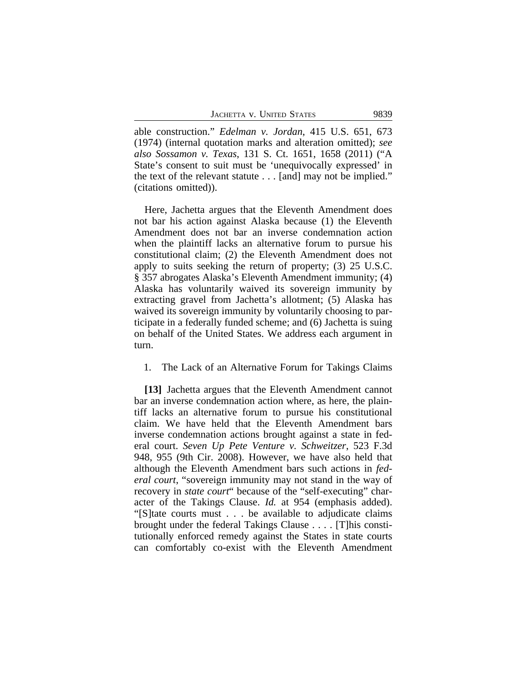able construction." *Edelman v. Jordan*, 415 U.S. 651, 673 (1974) (internal quotation marks and alteration omitted); *see also Sossamon v. Texas*, 131 S. Ct. 1651, 1658 (2011) ("A State's consent to suit must be 'unequivocally expressed' in the text of the relevant statute . . . [and] may not be implied." (citations omitted)).

Here, Jachetta argues that the Eleventh Amendment does not bar his action against Alaska because (1) the Eleventh Amendment does not bar an inverse condemnation action when the plaintiff lacks an alternative forum to pursue his constitutional claim; (2) the Eleventh Amendment does not apply to suits seeking the return of property; (3) 25 U.S.C. § 357 abrogates Alaska's Eleventh Amendment immunity; (4) Alaska has voluntarily waived its sovereign immunity by extracting gravel from Jachetta's allotment; (5) Alaska has waived its sovereign immunity by voluntarily choosing to participate in a federally funded scheme; and (6) Jachetta is suing on behalf of the United States. We address each argument in turn.

1. The Lack of an Alternative Forum for Takings Claims

**[13]** Jachetta argues that the Eleventh Amendment cannot bar an inverse condemnation action where, as here, the plaintiff lacks an alternative forum to pursue his constitutional claim. We have held that the Eleventh Amendment bars inverse condemnation actions brought against a state in federal court. *Seven Up Pete Venture v. Schweitzer*, 523 F.3d 948, 955 (9th Cir. 2008). However, we have also held that although the Eleventh Amendment bars such actions in *federal court*, "sovereign immunity may not stand in the way of recovery in *state court*" because of the "self-executing" character of the Takings Clause. *Id.* at 954 (emphasis added). "[S]tate courts must . . . be available to adjudicate claims brought under the federal Takings Clause . . . . [T]his constitutionally enforced remedy against the States in state courts can comfortably co-exist with the Eleventh Amendment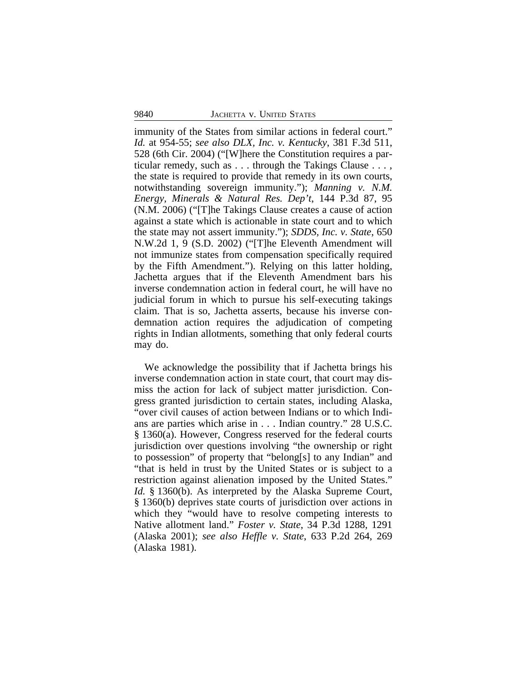immunity of the States from similar actions in federal court." *Id.* at 954-55; *see also DLX, Inc. v. Kentucky*, 381 F.3d 511, 528 (6th Cir. 2004) ("[W]here the Constitution requires a particular remedy, such as . . . through the Takings Clause . . . , the state is required to provide that remedy in its own courts, notwithstanding sovereign immunity."); *Manning v. N.M. Energy, Minerals & Natural Res. Dep't*, 144 P.3d 87, 95 (N.M. 2006) ("[T]he Takings Clause creates a cause of action against a state which is actionable in state court and to which the state may not assert immunity."); *SDDS, Inc. v. State*, 650 N.W.2d 1, 9 (S.D. 2002) ("[T]he Eleventh Amendment will not immunize states from compensation specifically required by the Fifth Amendment."). Relying on this latter holding, Jachetta argues that if the Eleventh Amendment bars his inverse condemnation action in federal court, he will have no judicial forum in which to pursue his self-executing takings claim. That is so, Jachetta asserts, because his inverse condemnation action requires the adjudication of competing rights in Indian allotments, something that only federal courts may do.

We acknowledge the possibility that if Jachetta brings his inverse condemnation action in state court, that court may dismiss the action for lack of subject matter jurisdiction. Congress granted jurisdiction to certain states, including Alaska, "over civil causes of action between Indians or to which Indians are parties which arise in . . . Indian country." 28 U.S.C. § 1360(a). However, Congress reserved for the federal courts jurisdiction over questions involving "the ownership or right to possession" of property that "belong[s] to any Indian" and "that is held in trust by the United States or is subject to a restriction against alienation imposed by the United States." *Id.* § 1360(b). As interpreted by the Alaska Supreme Court, § 1360(b) deprives state courts of jurisdiction over actions in which they "would have to resolve competing interests to Native allotment land." *Foster v. State*, 34 P.3d 1288, 1291 (Alaska 2001); *see also Heffle v. State*, 633 P.2d 264, 269 (Alaska 1981).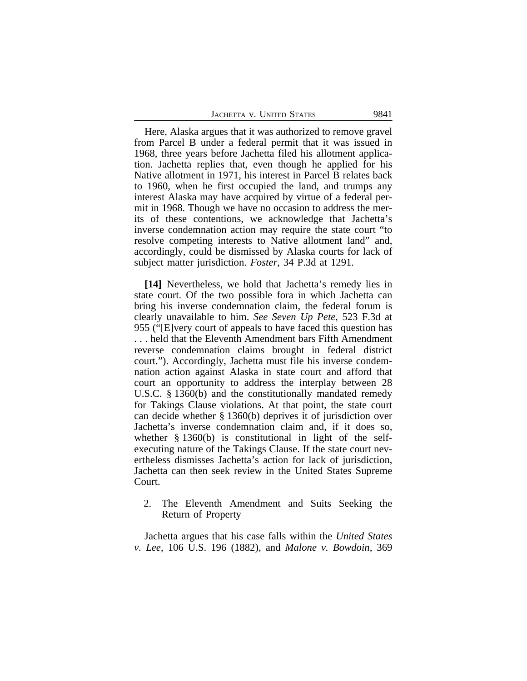| JACHETTA V. UNITED STATES<br>9841 |
|-----------------------------------|
|-----------------------------------|

Here, Alaska argues that it was authorized to remove gravel from Parcel B under a federal permit that it was issued in 1968, three years before Jachetta filed his allotment application. Jachetta replies that, even though he applied for his Native allotment in 1971, his interest in Parcel B relates back to 1960, when he first occupied the land, and trumps any interest Alaska may have acquired by virtue of a federal permit in 1968. Though we have no occasion to address the merits of these contentions, we acknowledge that Jachetta's inverse condemnation action may require the state court "to resolve competing interests to Native allotment land" and, accordingly, could be dismissed by Alaska courts for lack of subject matter jurisdiction. *Foster*, 34 P.3d at 1291.

**[14]** Nevertheless, we hold that Jachetta's remedy lies in state court. Of the two possible fora in which Jachetta can bring his inverse condemnation claim, the federal forum is clearly unavailable to him. *See Seven Up Pete*, 523 F.3d at 955 ("[E]very court of appeals to have faced this question has . . . held that the Eleventh Amendment bars Fifth Amendment reverse condemnation claims brought in federal district court."). Accordingly, Jachetta must file his inverse condemnation action against Alaska in state court and afford that court an opportunity to address the interplay between 28 U.S.C. § 1360(b) and the constitutionally mandated remedy for Takings Clause violations. At that point, the state court can decide whether § 1360(b) deprives it of jurisdiction over Jachetta's inverse condemnation claim and, if it does so, whether § 1360(b) is constitutional in light of the selfexecuting nature of the Takings Clause. If the state court nevertheless dismisses Jachetta's action for lack of jurisdiction, Jachetta can then seek review in the United States Supreme Court.

2. The Eleventh Amendment and Suits Seeking the Return of Property

Jachetta argues that his case falls within the *United States v. Lee*, 106 U.S. 196 (1882), and *Malone v. Bowdoin*, 369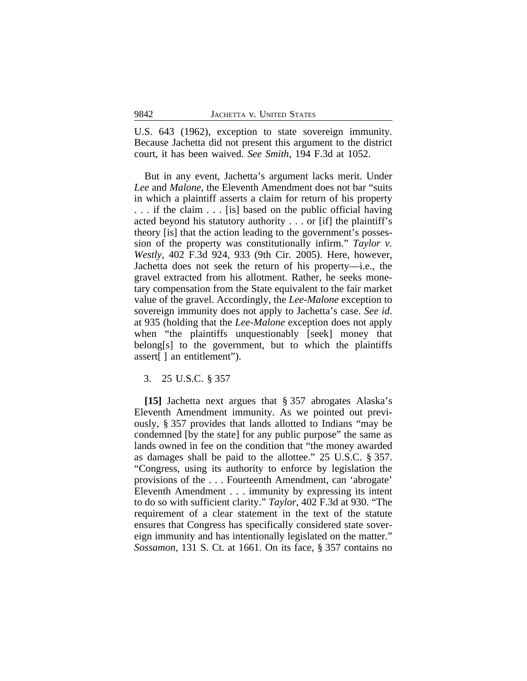U.S. 643 (1962), exception to state sovereign immunity. Because Jachetta did not present this argument to the district court, it has been waived. *See Smith*, 194 F.3d at 1052.

But in any event, Jachetta's argument lacks merit. Under *Lee* and *Malone*, the Eleventh Amendment does not bar "suits in which a plaintiff asserts a claim for return of his property . . . if the claim . . . [is] based on the public official having acted beyond his statutory authority . . . or [if] the plaintiff's theory [is] that the action leading to the government's possession of the property was constitutionally infirm." *Taylor v. Westly*, 402 F.3d 924, 933 (9th Cir. 2005). Here, however, Jachetta does not seek the return of his property—i.e., the gravel extracted from his allotment. Rather, he seeks monetary compensation from the State equivalent to the fair market value of the gravel. Accordingly, the *Lee-Malone* exception to sovereign immunity does not apply to Jachetta's case. *See id.* at 935 (holding that the *Lee*-*Malone* exception does not apply when "the plaintiffs unquestionably [seek] money that belong[s] to the government, but to which the plaintiffs assert[ ] an entitlement").

3. 25 U.S.C. § 357

**[15]** Jachetta next argues that § 357 abrogates Alaska's Eleventh Amendment immunity. As we pointed out previously, § 357 provides that lands allotted to Indians "may be condemned [by the state] for any public purpose" the same as lands owned in fee on the condition that "the money awarded as damages shall be paid to the allottee." 25 U.S.C. § 357. "Congress, using its authority to enforce by legislation the provisions of the . . . Fourteenth Amendment, can 'abrogate' Eleventh Amendment . . . immunity by expressing its intent to do so with sufficient clarity." *Taylor*, 402 F.3d at 930. "The requirement of a clear statement in the text of the statute ensures that Congress has specifically considered state sovereign immunity and has intentionally legislated on the matter." *Sossamon*, 131 S. Ct. at 1661. On its face, § 357 contains no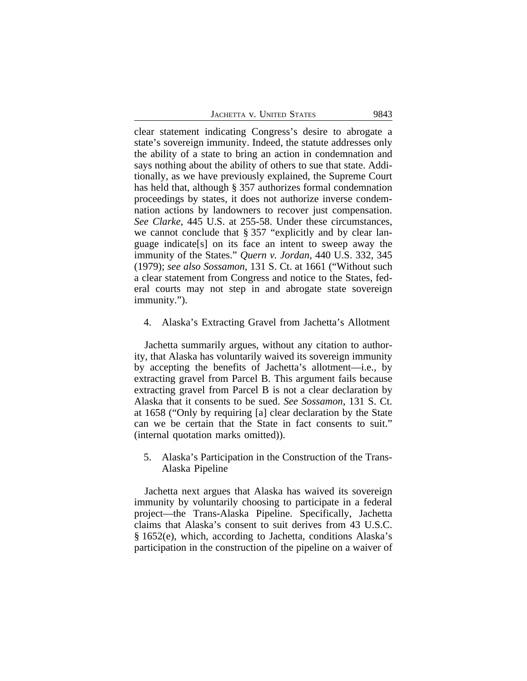| JACHETTA V. UNITED STATES |  | 9843 |
|---------------------------|--|------|
|                           |  |      |

clear statement indicating Congress's desire to abrogate a state's sovereign immunity. Indeed, the statute addresses only the ability of a state to bring an action in condemnation and says nothing about the ability of others to sue that state. Additionally, as we have previously explained, the Supreme Court has held that, although § 357 authorizes formal condemnation proceedings by states, it does not authorize inverse condemnation actions by landowners to recover just compensation. *See Clarke*, 445 U.S. at 255-58. Under these circumstances, we cannot conclude that § 357 "explicitly and by clear language indicate[s] on its face an intent to sweep away the immunity of the States." *Quern v. Jordan*, 440 U.S. 332, 345 (1979); *see also Sossamon*, 131 S. Ct. at 1661 ("Without such a clear statement from Congress and notice to the States, federal courts may not step in and abrogate state sovereign immunity.").

4. Alaska's Extracting Gravel from Jachetta's Allotment

Jachetta summarily argues, without any citation to authority, that Alaska has voluntarily waived its sovereign immunity by accepting the benefits of Jachetta's allotment—i.e., by extracting gravel from Parcel B. This argument fails because extracting gravel from Parcel B is not a clear declaration by Alaska that it consents to be sued. *See Sossamon*, 131 S. Ct. at 1658 ("Only by requiring [a] clear declaration by the State can we be certain that the State in fact consents to suit." (internal quotation marks omitted)).

5. Alaska's Participation in the Construction of the Trans-Alaska Pipeline

Jachetta next argues that Alaska has waived its sovereign immunity by voluntarily choosing to participate in a federal project—the Trans-Alaska Pipeline. Specifically, Jachetta claims that Alaska's consent to suit derives from 43 U.S.C. § 1652(e), which, according to Jachetta, conditions Alaska's participation in the construction of the pipeline on a waiver of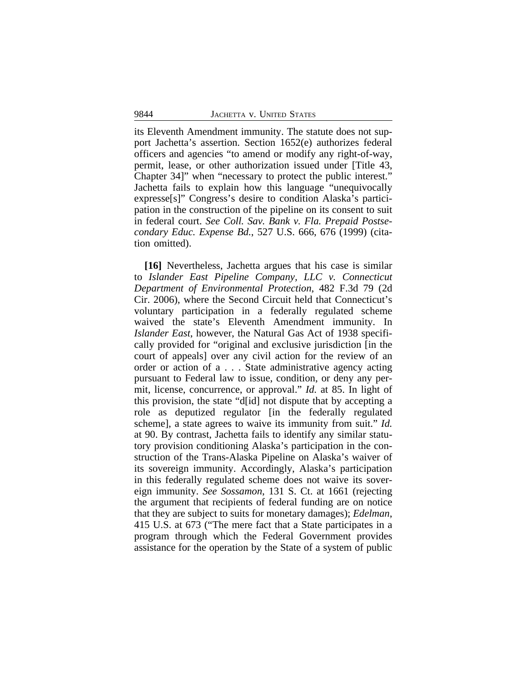its Eleventh Amendment immunity. The statute does not support Jachetta's assertion. Section 1652(e) authorizes federal officers and agencies "to amend or modify any right-of-way, permit, lease, or other authorization issued under [Title 43, Chapter 34]" when "necessary to protect the public interest." Jachetta fails to explain how this language "unequivocally expresse[s]" Congress's desire to condition Alaska's participation in the construction of the pipeline on its consent to suit in federal court. *See Coll. Sav. Bank v. Fla. Prepaid Postsecondary Educ. Expense Bd.*, 527 U.S. 666, 676 (1999) (citation omitted).

**[16]** Nevertheless, Jachetta argues that his case is similar to *Islander East Pipeline Company, LLC v. Connecticut Department of Environmental Protection*, 482 F.3d 79 (2d Cir. 2006), where the Second Circuit held that Connecticut's voluntary participation in a federally regulated scheme waived the state's Eleventh Amendment immunity. In *Islander East*, however, the Natural Gas Act of 1938 specifically provided for "original and exclusive jurisdiction [in the court of appeals] over any civil action for the review of an order or action of a . . . State administrative agency acting pursuant to Federal law to issue, condition, or deny any permit, license, concurrence, or approval." *Id.* at 85. In light of this provision, the state "d[id] not dispute that by accepting a role as deputized regulator [in the federally regulated scheme], a state agrees to waive its immunity from suit." *Id.* at 90. By contrast, Jachetta fails to identify any similar statutory provision conditioning Alaska's participation in the construction of the Trans-Alaska Pipeline on Alaska's waiver of its sovereign immunity. Accordingly, Alaska's participation in this federally regulated scheme does not waive its sovereign immunity. *See Sossamon*, 131 S. Ct. at 1661 (rejecting the argument that recipients of federal funding are on notice that they are subject to suits for monetary damages); *Edelman*, 415 U.S. at 673 ("The mere fact that a State participates in a program through which the Federal Government provides assistance for the operation by the State of a system of public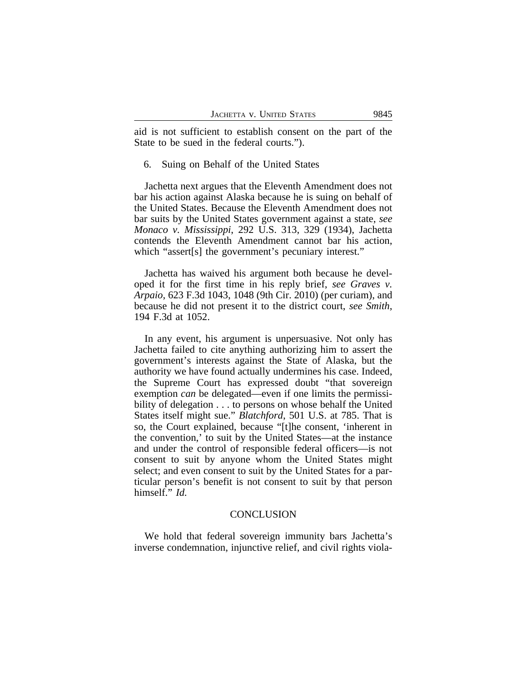aid is not sufficient to establish consent on the part of the State to be sued in the federal courts.").

6. Suing on Behalf of the United States

Jachetta next argues that the Eleventh Amendment does not bar his action against Alaska because he is suing on behalf of the United States. Because the Eleventh Amendment does not bar suits by the United States government against a state, *see Monaco v. Mississippi*, 292 U.S. 313, 329 (1934), Jachetta contends the Eleventh Amendment cannot bar his action, which "assert[s] the government's pecuniary interest."

Jachetta has waived his argument both because he developed it for the first time in his reply brief, *see Graves v. Arpaio*, 623 F.3d 1043, 1048 (9th Cir. 2010) (per curiam), and because he did not present it to the district court, *see Smith*, 194 F.3d at 1052.

In any event, his argument is unpersuasive. Not only has Jachetta failed to cite anything authorizing him to assert the government's interests against the State of Alaska, but the authority we have found actually undermines his case. Indeed, the Supreme Court has expressed doubt "that sovereign exemption *can* be delegated—even if one limits the permissibility of delegation . . . to persons on whose behalf the United States itself might sue." *Blatchford*, 501 U.S. at 785. That is so, the Court explained, because "[t]he consent, 'inherent in the convention,' to suit by the United States—at the instance and under the control of responsible federal officers—is not consent to suit by anyone whom the United States might select; and even consent to suit by the United States for a particular person's benefit is not consent to suit by that person himself." *Id.*

### **CONCLUSION**

We hold that federal sovereign immunity bars Jachetta's inverse condemnation, injunctive relief, and civil rights viola